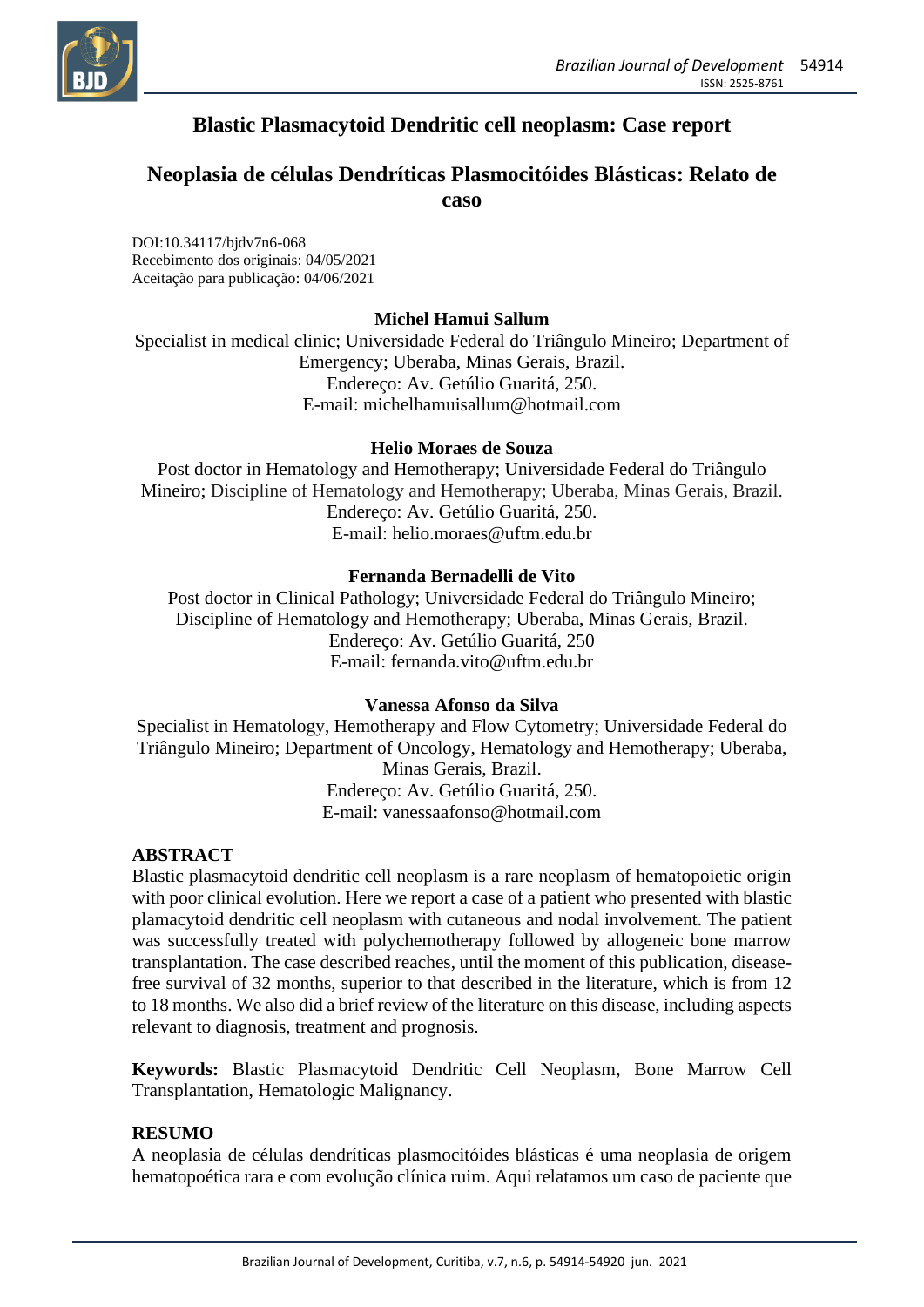

# **Blastic Plasmacytoid Dendritic cell neoplasm: Case report**

## **Neoplasia de células Dendríticas Plasmocitóides Blásticas: Relato de caso**

DOI:10.34117/bjdv7n6-068 Recebimento dos originais: 04/05/2021 Aceitação para publicação: 04/06/2021

## **Michel Hamui Sallum**

Specialist in medical clinic; Universidade Federal do Triângulo Mineiro; Department of Emergency; Uberaba, Minas Gerais, Brazil. Endereço: Av. Getúlio Guaritá, 250. E-mail: michelhamuisallum@hotmail.com

## **Helio Moraes de Souza**

Post doctor in Hematology and Hemotherapy; Universidade Federal do Triângulo Mineiro; Discipline of Hematology and Hemotherapy; Uberaba, Minas Gerais, Brazil. Endereço: Av. Getúlio Guaritá, 250. E-mail: helio.moraes@uftm.edu.br

## **Fernanda Bernadelli de Vito**

Post doctor in Clinical Pathology; Universidade Federal do Triângulo Mineiro; Discipline of Hematology and Hemotherapy; Uberaba, Minas Gerais, Brazil. Endereço: Av. Getúlio Guaritá, 250 E-mail: fernanda.vito@uftm.edu.br

### **Vanessa Afonso da Silva**

Specialist in Hematology, Hemotherapy and Flow Cytometry; Universidade Federal do Triângulo Mineiro; Department of Oncology, Hematology and Hemotherapy; Uberaba, Minas Gerais, Brazil. Endereço: Av. Getúlio Guaritá, 250. E-mail: vanessaafonso@hotmail.com

### **ABSTRACT**

Blastic plasmacytoid dendritic cell neoplasm is a rare neoplasm of hematopoietic origin with poor clinical evolution. Here we report a case of a patient who presented with blastic plamacytoid dendritic cell neoplasm with cutaneous and nodal involvement. The patient was successfully treated with polychemotherapy followed by allogeneic bone marrow transplantation. The case described reaches, until the moment of this publication, diseasefree survival of 32 months, superior to that described in the literature, which is from 12 to 18 months. We also did a brief review of the literature on this disease, including aspects relevant to diagnosis, treatment and prognosis.

**Keywords:** Blastic Plasmacytoid Dendritic Cell Neoplasm, Bone Marrow Cell Transplantation, Hematologic Malignancy.

### **RESUMO**

A neoplasia de células dendríticas plasmocitóides blásticas é uma neoplasia de origem hematopoética rara e com evolução clínica ruim. Aqui relatamos um caso de paciente que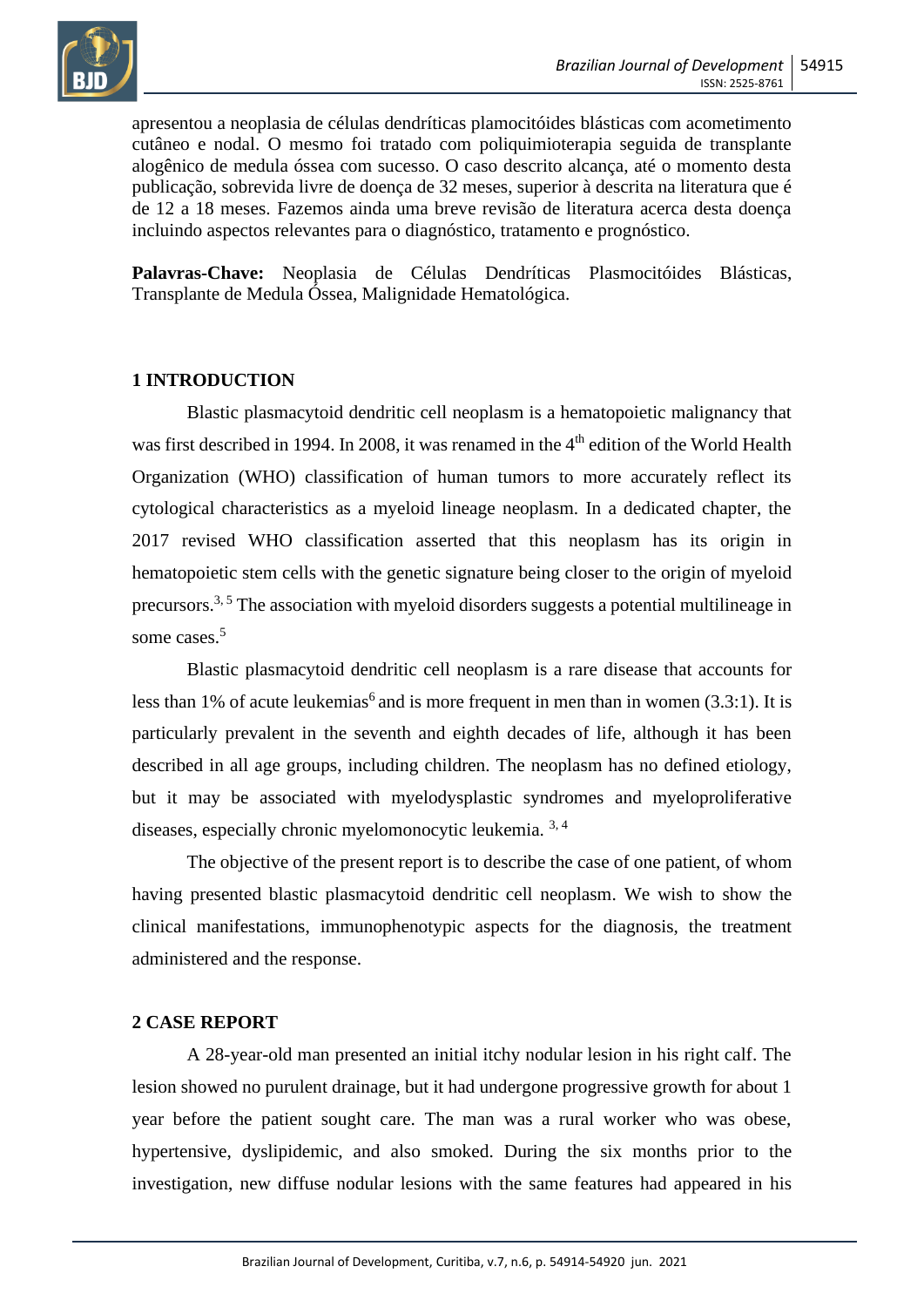

apresentou a neoplasia de células dendríticas plamocitóides blásticas com acometimento cutâneo e nodal. O mesmo foi tratado com poliquimioterapia seguida de transplante alogênico de medula óssea com sucesso. O caso descrito alcança, até o momento desta publicação, sobrevida livre de doença de 32 meses, superior à descrita na literatura que é de 12 a 18 meses. Fazemos ainda uma breve revisão de literatura acerca desta doença incluindo aspectos relevantes para o diagnóstico, tratamento e prognóstico.

**Palavras-Chave:** Neoplasia de Células Dendríticas Plasmocitóides Blásticas, Transplante de Medula Óssea, Malignidade Hematológica.

## **1 INTRODUCTION**

Blastic plasmacytoid dendritic cell neoplasm is a hematopoietic malignancy that was first described in 1994. In 2008, it was renamed in the 4<sup>th</sup> edition of the World Health Organization (WHO) classification of human tumors to more accurately reflect its cytological characteristics as a myeloid lineage neoplasm. In a dedicated chapter, the 2017 revised WHO classification asserted that this neoplasm has its origin in hematopoietic stem cells with the genetic signature being closer to the origin of myeloid precursors.<sup>3, 5</sup> The association with myeloid disorders suggests a potential multilineage in some cases.<sup>5</sup>

Blastic plasmacytoid dendritic cell neoplasm is a rare disease that accounts for less than 1% of acute leukemias<sup>6</sup> and is more frequent in men than in women  $(3.3:1)$ . It is particularly prevalent in the seventh and eighth decades of life, although it has been described in all age groups, including children. The neoplasm has no defined etiology, but it may be associated with myelodysplastic syndromes and myeloproliferative diseases, especially chronic myelomonocytic leukemia. 3, 4

The objective of the present report is to describe the case of one patient, of whom having presented blastic plasmacytoid dendritic cell neoplasm. We wish to show the clinical manifestations, immunophenotypic aspects for the diagnosis, the treatment administered and the response.

## **2 CASE REPORT**

A 28-year-old man presented an initial itchy nodular lesion in his right calf. The lesion showed no purulent drainage, but it had undergone progressive growth for about 1 year before the patient sought care. The man was a rural worker who was obese, hypertensive, dyslipidemic, and also smoked. During the six months prior to the investigation, new diffuse nodular lesions with the same features had appeared in his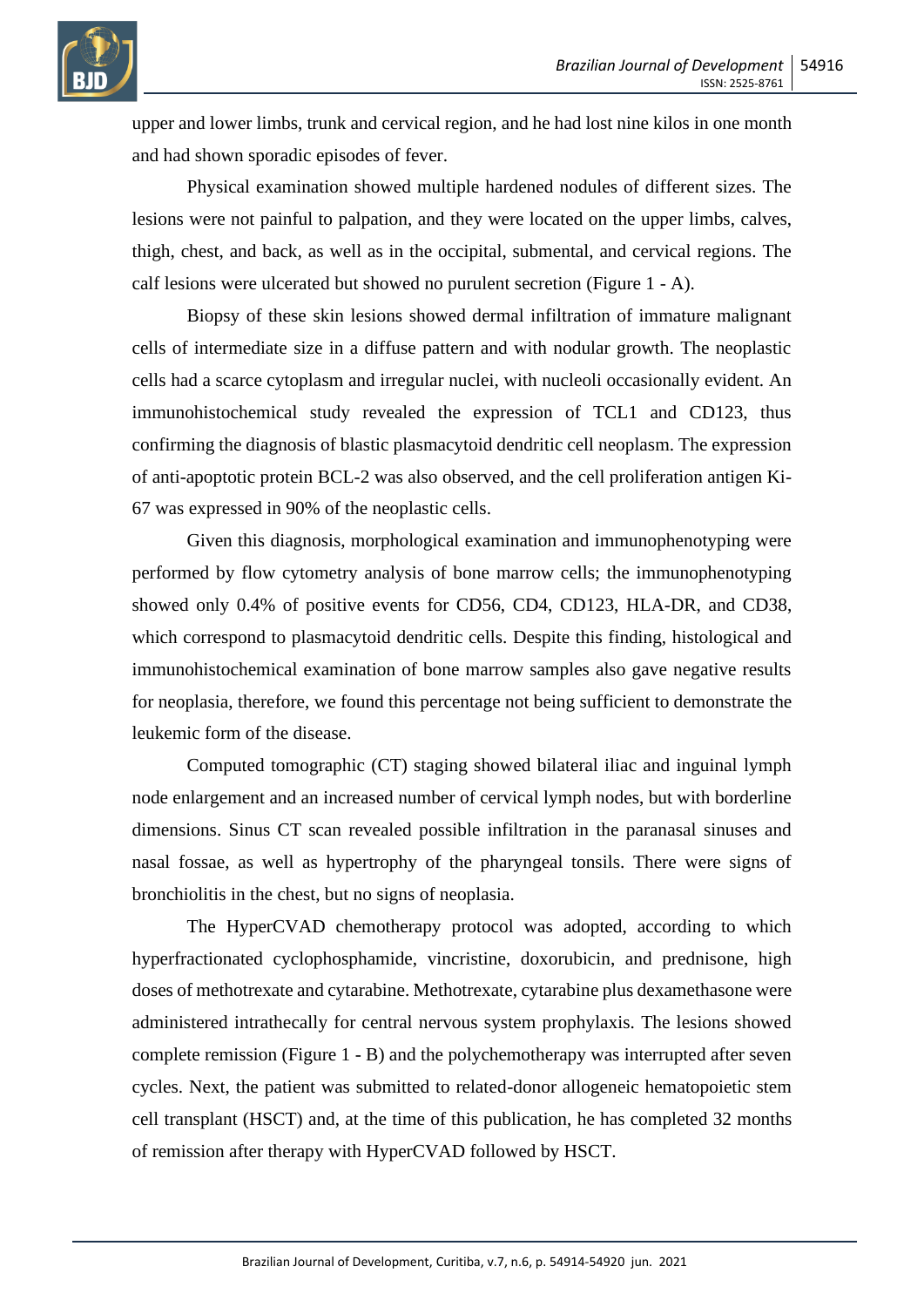

upper and lower limbs, trunk and cervical region, and he had lost nine kilos in one month and had shown sporadic episodes of fever.

Physical examination showed multiple hardened nodules of different sizes. The lesions were not painful to palpation, and they were located on the upper limbs, calves, thigh, chest, and back, as well as in the occipital, submental, and cervical regions. The calf lesions were ulcerated but showed no purulent secretion (Figure 1 - A).

Biopsy of these skin lesions showed dermal infiltration of immature malignant cells of intermediate size in a diffuse pattern and with nodular growth. The neoplastic cells had a scarce cytoplasm and irregular nuclei, with nucleoli occasionally evident. An immunohistochemical study revealed the expression of TCL1 and CD123, thus confirming the diagnosis of blastic plasmacytoid dendritic cell neoplasm. The expression of anti-apoptotic protein BCL-2 was also observed, and the cell proliferation antigen Ki-67 was expressed in 90% of the neoplastic cells.

Given this diagnosis, morphological examination and immunophenotyping were performed by flow cytometry analysis of bone marrow cells; the immunophenotyping showed only 0.4% of positive events for CD56, CD4, CD123, HLA-DR, and CD38, which correspond to plasmacytoid dendritic cells. Despite this finding, histological and immunohistochemical examination of bone marrow samples also gave negative results for neoplasia, therefore, we found this percentage not being sufficient to demonstrate the leukemic form of the disease.

Computed tomographic (CT) staging showed bilateral iliac and inguinal lymph node enlargement and an increased number of cervical lymph nodes, but with borderline dimensions. Sinus CT scan revealed possible infiltration in the paranasal sinuses and nasal fossae, as well as hypertrophy of the pharyngeal tonsils. There were signs of bronchiolitis in the chest, but no signs of neoplasia.

The HyperCVAD chemotherapy protocol was adopted, according to which hyperfractionated cyclophosphamide, vincristine, doxorubicin, and prednisone, high doses of methotrexate and cytarabine. Methotrexate, cytarabine plus dexamethasone were administered intrathecally for central nervous system prophylaxis. The lesions showed complete remission (Figure 1 - B) and the polychemotherapy was interrupted after seven cycles. Next, the patient was submitted to related-donor allogeneic hematopoietic stem cell transplant (HSCT) and, at the time of this publication, he has completed 32 months of remission after therapy with HyperCVAD followed by HSCT.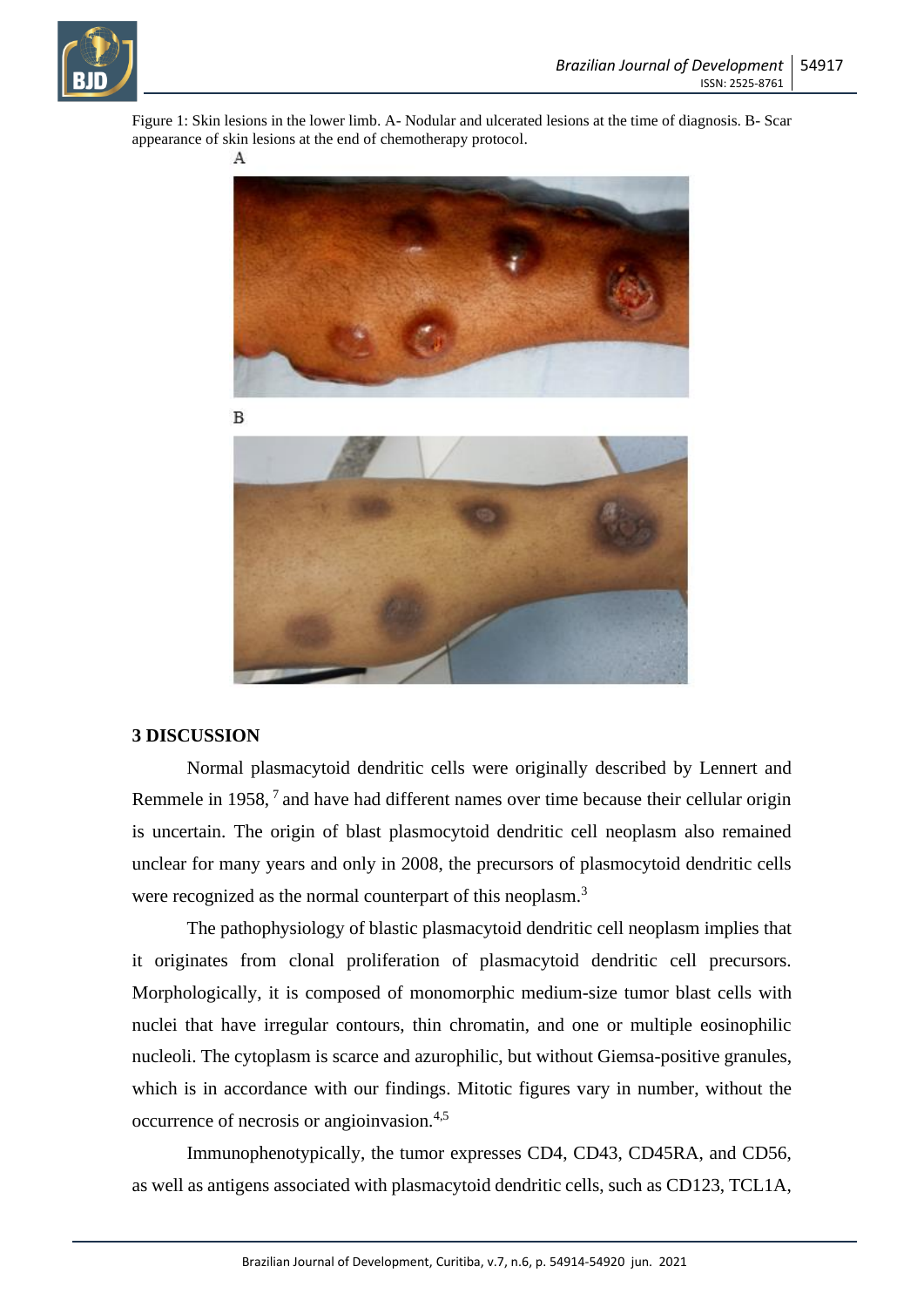

Figure 1: Skin lesions in the lower limb. A- Nodular and ulcerated lesions at the time of diagnosis. B- Scar appearance of skin lesions at the end of chemotherapy protocol.



#### **3 DISCUSSION**

Normal plasmacytoid dendritic cells were originally described by Lennert and Remmele in 1958,<sup>7</sup> and have had different names over time because their cellular origin is uncertain. The origin of blast plasmocytoid dendritic cell neoplasm also remained unclear for many years and only in 2008, the precursors of plasmocytoid dendritic cells were recognized as the normal counterpart of this neoplasm.<sup>3</sup>

The pathophysiology of blastic plasmacytoid dendritic cell neoplasm implies that it originates from clonal proliferation of plasmacytoid dendritic cell precursors. Morphologically, it is composed of monomorphic medium-size tumor blast cells with nuclei that have irregular contours, thin chromatin, and one or multiple eosinophilic nucleoli. The cytoplasm is scarce and azurophilic, but without Giemsa-positive granules, which is in accordance with our findings. Mitotic figures vary in number, without the occurrence of necrosis or angioinvasion.4,5

Immunophenotypically, the tumor expresses CD4, CD43, CD45RA, and CD56, as well as antigens associated with plasmacytoid dendritic cells, such as CD123, TCL1A,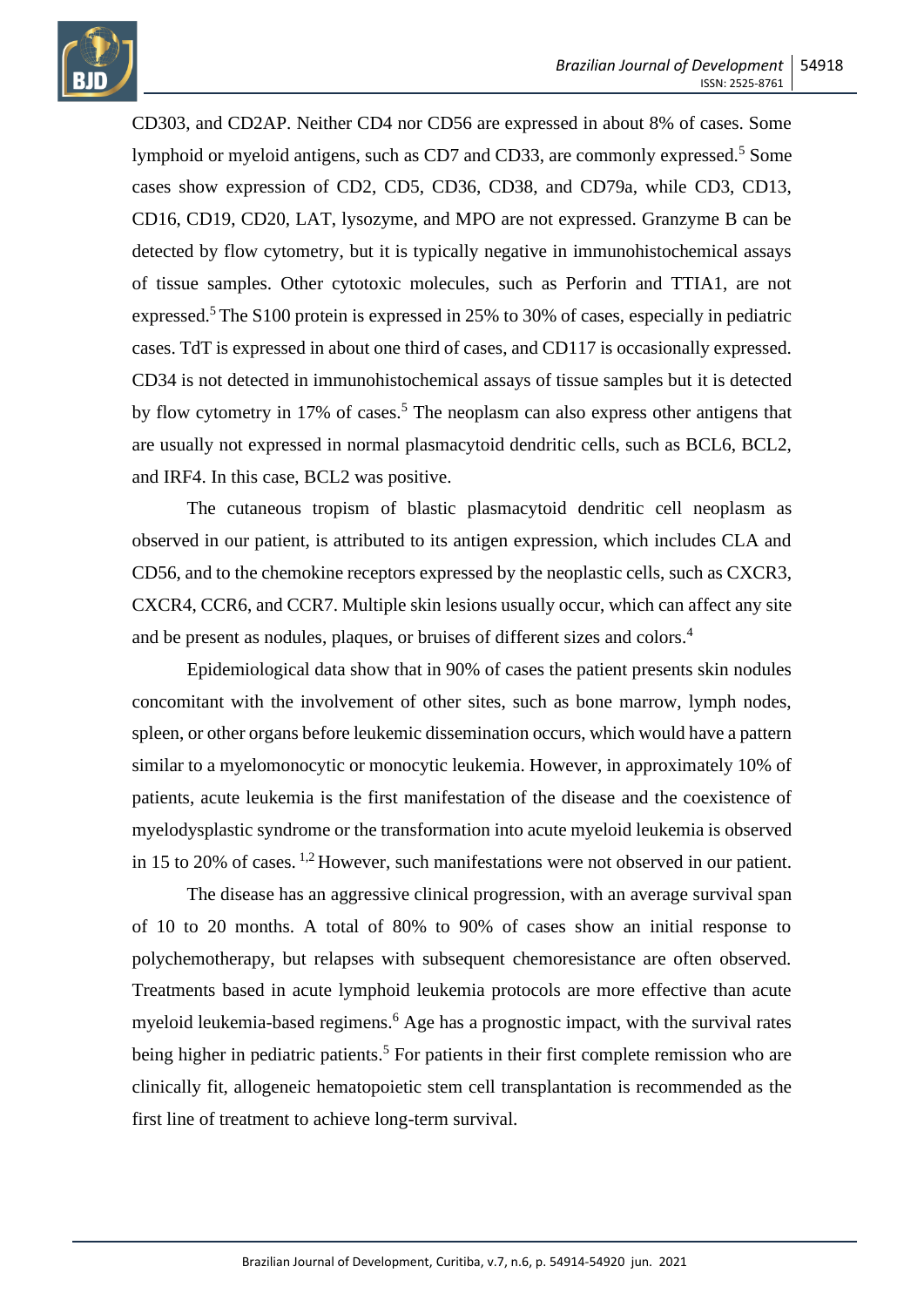

CD303, and CD2AP. Neither CD4 nor CD56 are expressed in about 8% of cases. Some lymphoid or myeloid antigens, such as CD7 and CD33, are commonly expressed.<sup>5</sup> Some cases show expression of CD2, CD5, CD36, CD38, and CD79a, while CD3, CD13, CD16, CD19, CD20, LAT, lysozyme, and MPO are not expressed. Granzyme B can be detected by flow cytometry, but it is typically negative in immunohistochemical assays of tissue samples. Other cytotoxic molecules, such as Perforin and TTIA1, are not expressed.<sup>5</sup> The S100 protein is expressed in 25% to 30% of cases, especially in pediatric cases. TdT is expressed in about one third of cases, and CD117 is occasionally expressed. CD34 is not detected in immunohistochemical assays of tissue samples but it is detected by flow cytometry in 17% of cases. <sup>5</sup> The neoplasm can also express other antigens that are usually not expressed in normal plasmacytoid dendritic cells, such as BCL6, BCL2, and IRF4. In this case, BCL2 was positive.

The cutaneous tropism of blastic plasmacytoid dendritic cell neoplasm as observed in our patient, is attributed to its antigen expression, which includes CLA and CD56, and to the chemokine receptors expressed by the neoplastic cells, such as CXCR3, CXCR4, CCR6, and CCR7. Multiple skin lesions usually occur, which can affect any site and be present as nodules, plaques, or bruises of different sizes and colors.<sup>4</sup>

Epidemiological data show that in 90% of cases the patient presents skin nodules concomitant with the involvement of other sites, such as bone marrow, lymph nodes, spleen, or other organs before leukemic dissemination occurs, which would have a pattern similar to a myelomonocytic or monocytic leukemia. However, in approximately 10% of patients, acute leukemia is the first manifestation of the disease and the coexistence of myelodysplastic syndrome or the transformation into acute myeloid leukemia is observed in 15 to 20% of cases. 1,2 However, such manifestations were not observed in our patient.

The disease has an aggressive clinical progression, with an average survival span of 10 to 20 months. A total of 80% to 90% of cases show an initial response to polychemotherapy, but relapses with subsequent chemoresistance are often observed. Treatments based in acute lymphoid leukemia protocols are more effective than acute myeloid leukemia-based regimens.<sup>6</sup> Age has a prognostic impact, with the survival rates being higher in pediatric patients.<sup>5</sup> For patients in their first complete remission who are clinically fit, allogeneic hematopoietic stem cell transplantation is recommended as the first line of treatment to achieve long-term survival.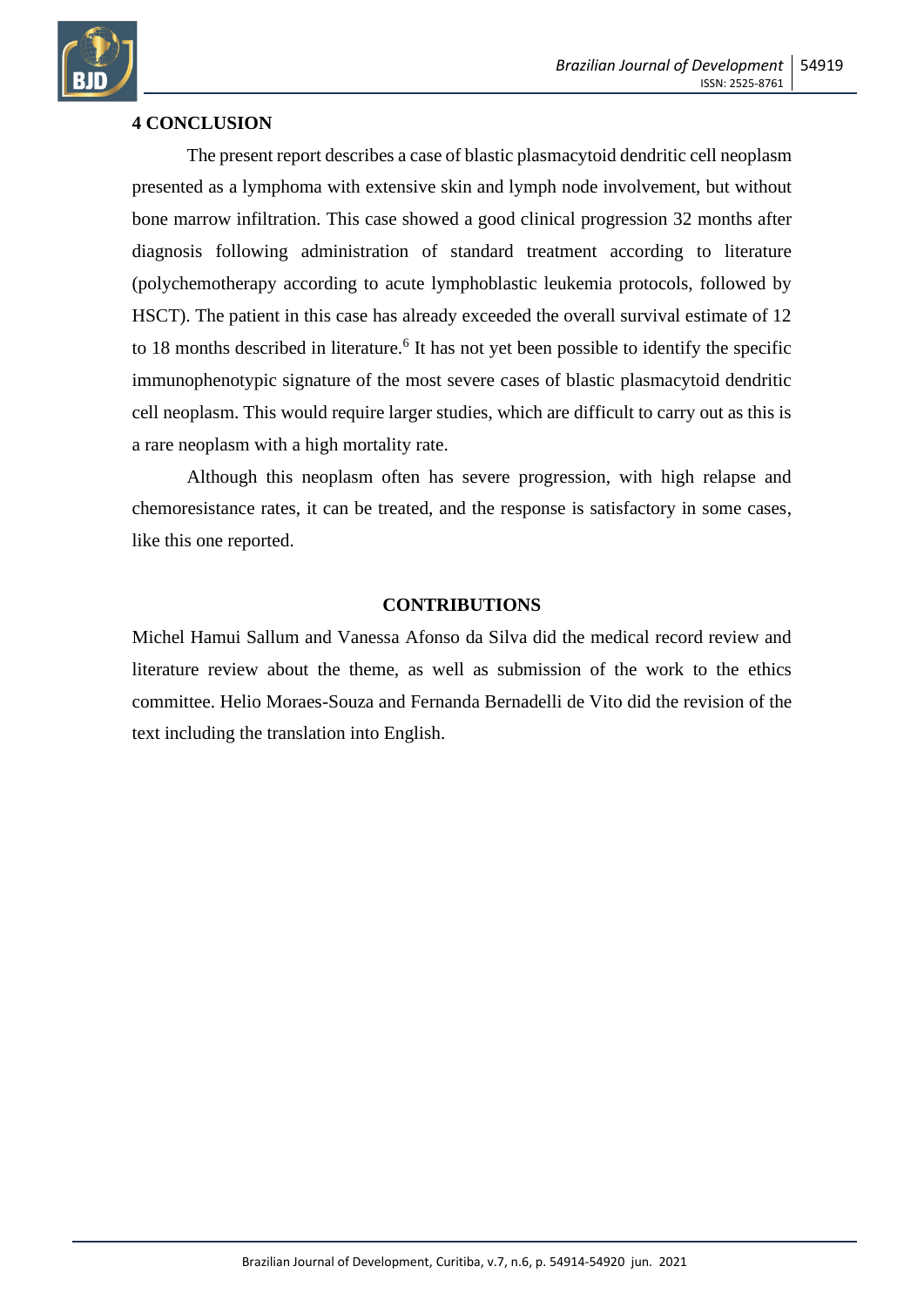

## **4 CONCLUSION**

The present report describes a case of blastic plasmacytoid dendritic cell neoplasm presented as a lymphoma with extensive skin and lymph node involvement, but without bone marrow infiltration. This case showed a good clinical progression 32 months after diagnosis following administration of standard treatment according to literature (polychemotherapy according to acute lymphoblastic leukemia protocols, followed by HSCT). The patient in this case has already exceeded the overall survival estimate of 12 to 18 months described in literature.<sup>6</sup> It has not yet been possible to identify the specific immunophenotypic signature of the most severe cases of blastic plasmacytoid dendritic cell neoplasm. This would require larger studies, which are difficult to carry out as this is a rare neoplasm with a high mortality rate.

Although this neoplasm often has severe progression, with high relapse and chemoresistance rates, it can be treated, and the response is satisfactory in some cases, like this one reported.

### **CONTRIBUTIONS**

Michel Hamui Sallum and Vanessa Afonso da Silva did the medical record review and literature review about the theme, as well as submission of the work to the ethics committee. Helio Moraes-Souza and Fernanda Bernadelli de Vito did the revision of the text including the translation into English.